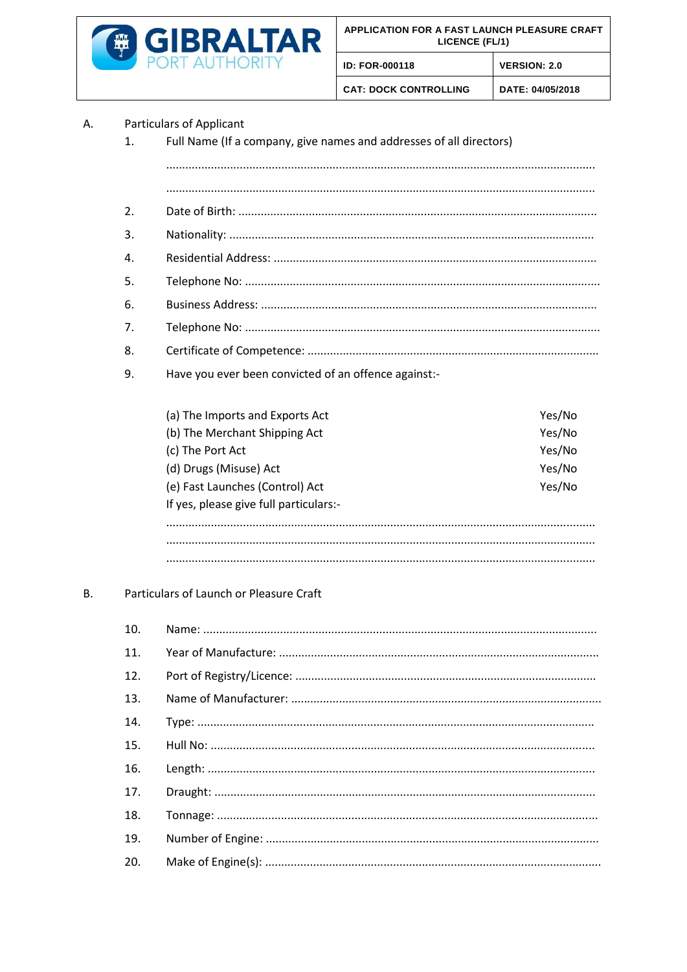

**ID: FOR-000118** 

**CAT: DOCK CONTROLLING** 

DATE: 04/05/2018

**VERSION: 2.0** 

## **Particulars of Applicant** A.

Full Name (If a company, give names and addresses of all directors)  $\mathbf{1}$ .

 $\mathcal{L}$ 3. 4. 5.  $6.$  $7<sub>1</sub>$ 8. 9. Have you ever been convicted of an offence against:-(a) The Imports and Exports Act Yes/No (b) The Merchant Shipping Act Yes/No (c) The Port Act Yes/No Yes/No (d) Drugs (Misuse) Act (e) Fast Launches (Control) Act Yes/No If yes, please give full particulars:-

## $B<sub>1</sub>$ Particulars of Launch or Pleasure Craft

| 10. |  |
|-----|--|
| 11. |  |
| 12. |  |
| 13. |  |
| 14. |  |
| 15. |  |
| 16. |  |
| 17. |  |
| 18. |  |
| 19. |  |
| 20. |  |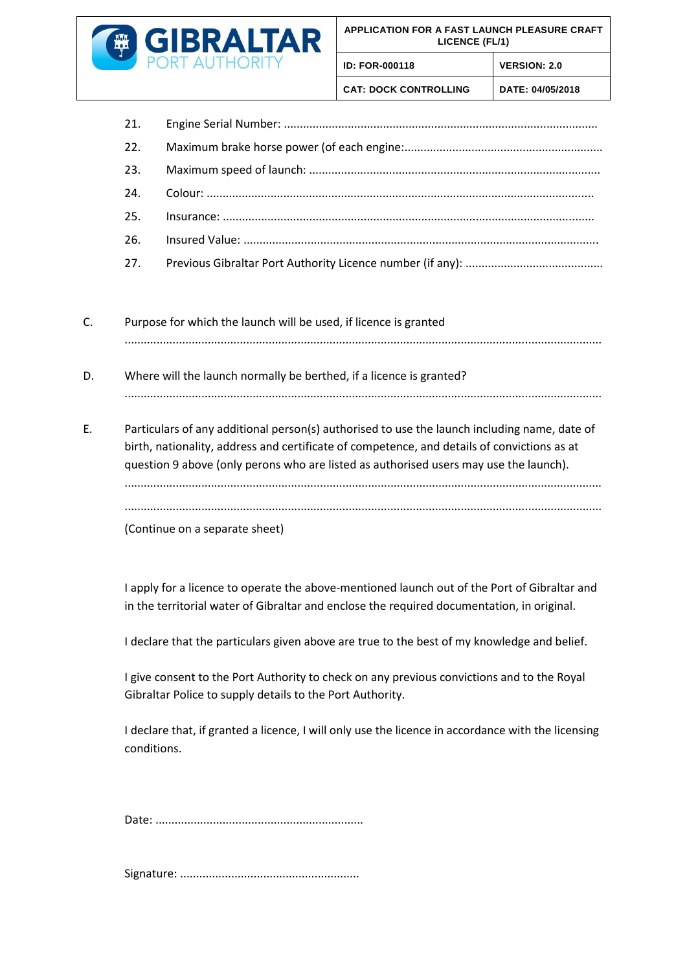

21. Engine Serial Number:

**ID: FOR-000118 VERSION: 2.0**

**CAT: DOCK CONTROLLING DATE: 04/05/2018**

- C. Purpose for which the launch will be used, if licence is granted .....................................................................................................................................................
- D. Where will the launch normally be berthed, if a licence is granted? .....................................................................................................................................................
- E. Particulars of any additional person(s) authorised to use the launch including name, date of birth, nationality, address and certificate of competence, and details of convictions as at question 9 above (only perons who are listed as authorised users may use the launch). ..................................................................................................................................................... .....................................................................................................................................................

(Continue on a separate sheet)

I apply for a licence to operate the above-mentioned launch out of the Port of Gibraltar and in the territorial water of Gibraltar and enclose the required documentation, in original.

I declare that the particulars given above are true to the best of my knowledge and belief.

I give consent to the Port Authority to check on any previous convictions and to the Royal Gibraltar Police to supply details to the Port Authority.

I declare that, if granted a licence, I will only use the licence in accordance with the licensing conditions.

Date: .................................................................

Signature: ........................................................